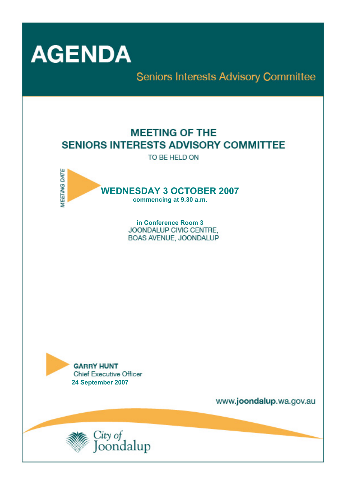

Seniors Interests Advisory Committee

# **MEETING OF THE SENIORS INTERESTS ADVISORY COMMITTEE**

TO BE HELD ON



in Conference Room 3 JOONDALUP CIVIC CENTRE. BOAS AVENUE, JOONDALUP



www.joondalup.wa.gov.au

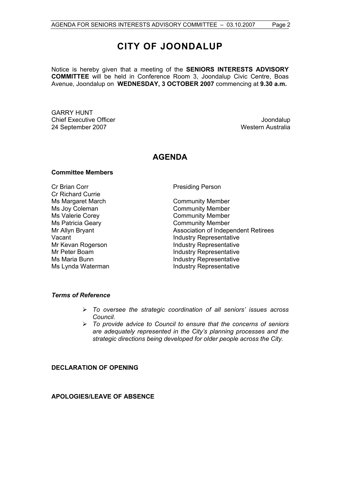## **CITY OF JOONDALUP**

Notice is hereby given that a meeting of the **SENIORS INTERESTS ADVISORY COMMITTEE** will be held in Conference Room 3, Joondalup Civic Centre, Boas Avenue, Joondalup on **WEDNESDAY, 3 OCTOBER 2007** commencing at **9.30 a.m.** 

GARRY HUNT Chief Executive Officer **Joondalup** 24 September 2007 Western Australia

## **AGENDA**

## **Committee Members**

Cr Brian Corr **Presiding Person** Cr Richard Currie Ms Margaret March **Community Member** Ms Joy Coleman Community Member Ms Valerie Corey **Community Member** Ms Patricia Geary **Community Member** 

Mr Allyn Bryant **Association of Independent Retirees** Vacant Vacant **Industry Representative** Mr Kevan Rogerson **Industry Representative** Mr Peter Boam **Industry Representative**<br>
Ms Maria Bunn<br>
Industry Representative **Industry Representative** Ms Lynda Waterman **Industry Representative** 

### *Terms of Reference*

- ¾ *To oversee the strategic coordination of all seniors' issues across Council.*
- ¾ *To provide advice to Council to ensure that the concerns of seniors are adequately represented in the City's planning processes and the strategic directions being developed for older people across the City.*

## **DECLARATION OF OPENING**

**APOLOGIES/LEAVE OF ABSENCE**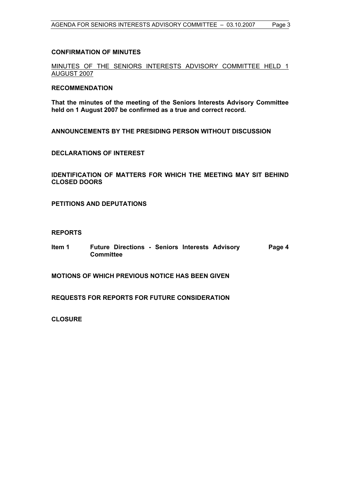### **CONFIRMATION OF MINUTES**

MINUTES OF THE SENIORS INTERESTS ADVISORY COMMITTEE HELD 1 AUGUST 2007

#### **RECOMMENDATION**

**That the minutes of the meeting of the Seniors Interests Advisory Committee held on 1 August 2007 be confirmed as a true and correct record.** 

**ANNOUNCEMENTS BY THE PRESIDING PERSON WITHOUT DISCUSSION** 

**DECLARATIONS OF INTEREST** 

**IDENTIFICATION OF MATTERS FOR WHICH THE MEETING MAY SIT BEHIND CLOSED DOORS** 

**PETITIONS AND DEPUTATIONS** 

### **REPORTS**

**Item 1 Future Directions - Seniors Interests Advisory Committee Page 4** 

**MOTIONS OF WHICH PREVIOUS NOTICE HAS BEEN GIVEN** 

**REQUESTS FOR REPORTS FOR FUTURE CONSIDERATION** 

**CLOSURE**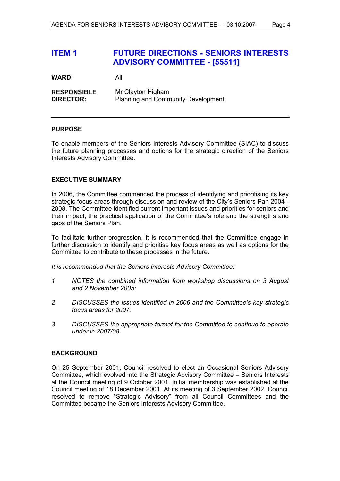## **ITEM 1 FUTURE DIRECTIONS - SENIORS INTERESTS ADVISORY COMMITTEE - [55511]**

| WARD: | All |
|-------|-----|
|       |     |

| <b>RESPONSIBLE</b> | Mr Clayton Higham                         |
|--------------------|-------------------------------------------|
| <b>DIRECTOR:</b>   | <b>Planning and Community Development</b> |

## **PURPOSE**

To enable members of the Seniors Interests Advisory Committee (SIAC) to discuss the future planning processes and options for the strategic direction of the Seniors Interests Advisory Committee.

## **EXECUTIVE SUMMARY**

In 2006, the Committee commenced the process of identifying and prioritising its key strategic focus areas through discussion and review of the City's Seniors Pan 2004 - 2008. The Committee identified current important issues and priorities for seniors and their impact, the practical application of the Committee's role and the strengths and gaps of the Seniors Plan.

To facilitate further progression, it is recommended that the Committee engage in further discussion to identify and prioritise key focus areas as well as options for the Committee to contribute to these processes in the future.

*It is recommended that the Seniors Interests Advisory Committee:* 

- *1 NOTES the combined information from workshop discussions on 3 August and 2 November 2005;*
- *2 DISCUSSES the issues identified in 2006 and the Committee's key strategic focus areas for 2007;*
- *3 DISCUSSES the appropriate format for the Committee to continue to operate under in 2007/08.*

## **BACKGROUND**

On 25 September 2001, Council resolved to elect an Occasional Seniors Advisory Committee, which evolved into the Strategic Advisory Committee – Seniors Interests at the Council meeting of 9 October 2001. Initial membership was established at the Council meeting of 18 December 2001. At its meeting of 3 September 2002, Council resolved to remove "Strategic Advisory" from all Council Committees and the Committee became the Seniors Interests Advisory Committee.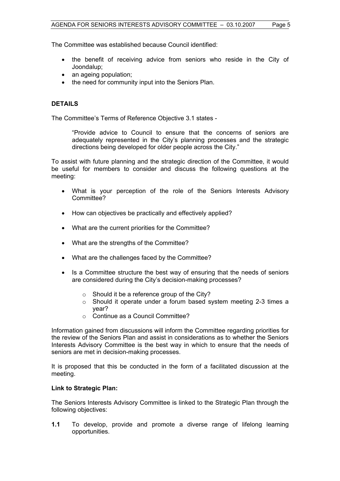The Committee was established because Council identified:

- the benefit of receiving advice from seniors who reside in the City of Joondalup;
- an ageing population;
- the need for community input into the Seniors Plan.

## **DETAILS**

The Committee's Terms of Reference Objective 3.1 states -

"Provide advice to Council to ensure that the concerns of seniors are adequately represented in the City's planning processes and the strategic directions being developed for older people across the City."

To assist with future planning and the strategic direction of the Committee, it would be useful for members to consider and discuss the following questions at the meeting:

- What is your perception of the role of the Seniors Interests Advisory Committee?
- How can objectives be practically and effectively applied?
- What are the current priorities for the Committee?
- What are the strengths of the Committee?
- What are the challenges faced by the Committee?
- Is a Committee structure the best way of ensuring that the needs of seniors are considered during the City's decision-making processes?
	- o Should it be a reference group of the City?
	- $\circ$  Should it operate under a forum based system meeting 2-3 times a year?
	- o Continue as a Council Committee?

Information gained from discussions will inform the Committee regarding priorities for the review of the Seniors Plan and assist in considerations as to whether the Seniors Interests Advisory Committee is the best way in which to ensure that the needs of seniors are met in decision-making processes.

It is proposed that this be conducted in the form of a facilitated discussion at the meeting.

## **Link to Strategic Plan:**

The Seniors Interests Advisory Committee is linked to the Strategic Plan through the following objectives:

**1.1** To develop, provide and promote a diverse range of lifelong learning opportunities.